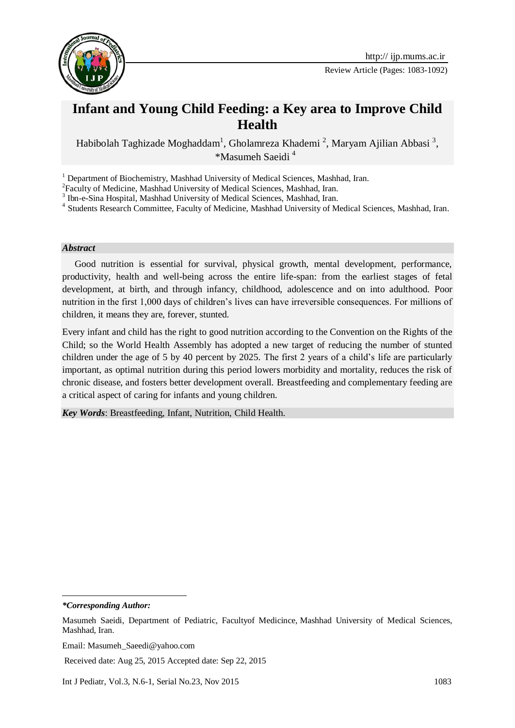

Review Article (Pages: 1083-1092)

# **Infant and Young Child Feeding: a Key area to Improve Child Health**

Habibolah Taghizade Moghaddam<sup>1</sup>, Gholamreza Khademi<sup>2</sup>, Maryam Ajilian Abbasi<sup>3</sup>, \*Masumeh Saeidi <sup>41</sup>

<sup>1</sup> Department of Biochemistry, Mashhad University of Medical Sciences, Mashhad, Iran.

<sup>2</sup> Faculty of Medicine, Mashhad University of Medical Sciences, Mashhad, Iran.

<sup>3</sup> Ibn-e-Sina Hospital, Mashhad University of Medical Sciences, Mashhad, Iran.

<sup>4</sup> Students Research Committee, Faculty of Medicine, Mashhad University of Medical Sciences, Mashhad, Iran.

#### *Abstract*

Good nutrition is essential for survival, physical growth, mental development, performance, productivity, health and well-being across the entire life-span: from the earliest stages of fetal development, at birth, and through infancy, childhood, adolescence and on into adulthood. Poor nutrition in the first 1,000 days of children's lives can have irreversible consequences. For millions of children, it means they are, forever, stunted.

Every infant and child has the right to good nutrition according to the Convention on the Rights of the Child; so the World Health Assembly has adopted a new target of reducing the number of stunted children under the age of 5 by 40 percent by 2025. The first 2 years of a child's life are particularly important, as optimal nutrition during this period lowers morbidity and mortality, reduces the risk of chronic disease, and fosters better development overall. Breastfeeding and complementary feeding are a critical aspect of caring for infants and young children.

*Key Words*: Breastfeeding, Infant, Nutrition, Child Health.

-

*<sup>\*</sup>Corresponding Author:*

Masumeh Saeidi, Department of Pediatric, Facultyof Medicince, Mashhad University of Medical Sciences, Mashhad, Iran.

Email: Masumeh\_Saeedi@yahoo.com

Received date: Aug 25, 2015 Accepted date: Sep 22, 2015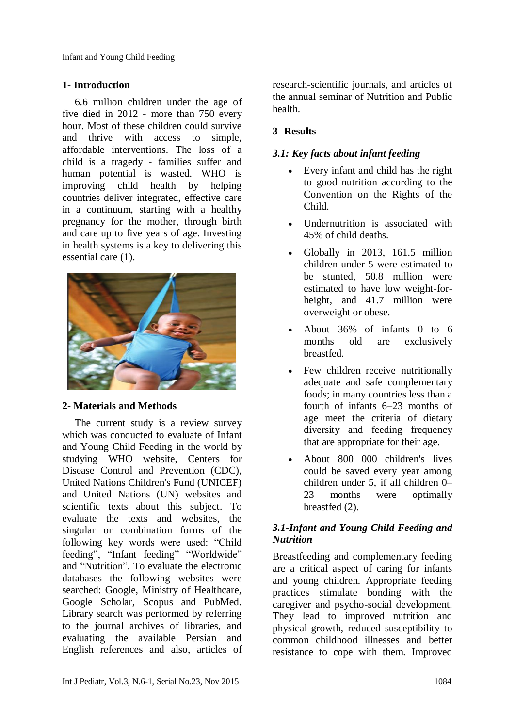### **1- Introduction**

6.6 million children under the age of five died in 2012 - more than 750 every hour. Most of these children could survive and thrive with access to simple, affordable interventions. The loss of a child is a tragedy - families suffer and human potential is wasted. WHO is improving child health by helping countries deliver integrated, effective care in a continuum, starting with a healthy pregnancy for the mother, through birth and care up to five years of age. Investing in health systems is a key to delivering this essential care (1).



### **2- Materials and Methods**

The current study is a review survey which was conducted to evaluate of Infant and Young Child Feeding in the world by studying WHO website, Centers for Disease Control and Prevention (CDC), United Nations Children's Fund (UNICEF) and United Nations (UN) websites and scientific texts about this subject. To evaluate the texts and websites, the singular or combination forms of the following key words were used: "Child feeding", "Infant feeding" "Worldwide" and "Nutrition". To evaluate the electronic databases the following websites were searched: Google, Ministry of Healthcare, Google Scholar, Scopus and PubMed. Library search was performed by referring to the journal archives of libraries, and evaluating the available Persian and English references and also, articles of

research-scientific journals, and articles of the annual seminar of Nutrition and Public health.

## **3- Results**

## *3.1: Key facts about infant feeding*

- Every infant and child has the right to good nutrition according to the Convention on the Rights of the Child.
- Undernutrition is associated with 45% of child deaths.
- Globally in 2013, 161.5 million children under 5 were estimated to be stunted, 50.8 million were estimated to have low weight-forheight, and 41.7 million were overweight or obese.
- About 36% of infants 0 to 6 months old are exclusively breastfed.
- Few children receive nutritionally adequate and safe complementary foods; in many countries less than a fourth of infants 6–23 months of age meet the criteria of dietary diversity and feeding frequency that are appropriate for their age.
- About 800 000 children's lives could be saved every year among children under 5, if all children 0– 23 months were optimally breastfed (2).

## *3.1-Infant and Young Child Feeding and Nutrition*

Breastfeeding and complementary feeding are a critical aspect of caring for infants and young children. Appropriate feeding practices stimulate bonding with the caregiver and psycho-social development. They lead to improved nutrition and physical growth, reduced susceptibility to common childhood illnesses and better resistance to cope with them. Improved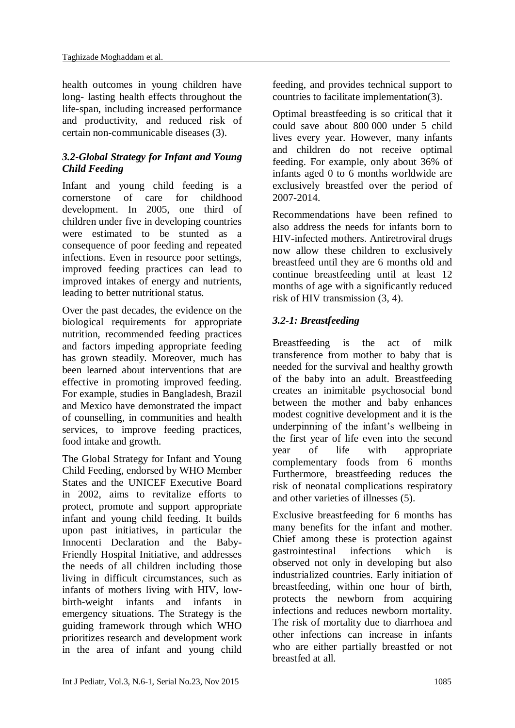health outcomes in young children have long- lasting health effects throughout the life-span, including increased performance and productivity, and reduced risk of certain non-communicable diseases (3).

## *3.2-Global Strategy for Infant and Young Child Feeding*

Infant and young child feeding is a cornerstone of care for childhood development. In 2005, one third of children under five in developing countries were estimated to be stunted as a consequence of poor feeding and repeated infections. Even in resource poor settings, improved feeding practices can lead to improved intakes of energy and nutrients, leading to better nutritional status.

Over the past decades, the evidence on the biological requirements for appropriate nutrition, recommended feeding practices and factors impeding appropriate feeding has grown steadily. Moreover, much has been learned about interventions that are effective in promoting improved feeding. For example, studies in Bangladesh, Brazil and Mexico have demonstrated the impact of counselling, in communities and health services, to improve feeding practices, food intake and growth.

The Global Strategy for Infant and Young Child Feeding, endorsed by WHO Member States and the UNICEF Executive Board in 2002, aims to revitalize efforts to protect, promote and support appropriate infant and young child feeding. It builds upon past initiatives, in particular the Innocenti Declaration and the Baby-Friendly Hospital Initiative, and addresses the needs of all children including those living in difficult circumstances, such as infants of mothers living with HIV, lowbirth-weight infants and infants in emergency situations. The Strategy is the guiding framework through which WHO prioritizes research and development work in the area of infant and young child feeding, and provides technical support to countries to facilitate implementation(3).

Optimal breastfeeding is so critical that it could save about 800 000 under 5 child lives every year. However, many infants and children do not receive optimal feeding. For example, only about 36% of infants aged 0 to 6 months worldwide are exclusively breastfed over the period of 2007-2014.

Recommendations have been refined to also address the needs for infants born to HIV-infected mothers. Antiretroviral drugs now allow these children to exclusively breastfeed until they are 6 months old and continue breastfeeding until at least 12 months of age with a significantly reduced risk of HIV transmission (3, 4).

## *3.2-1: Breastfeeding*

Breastfeeding is the act of milk transference from mother to baby that is needed for the survival and healthy growth of the baby into an adult. Breastfeeding creates an inimitable psychosocial bond between the mother and baby enhances modest cognitive development and it is the underpinning of the infant's wellbeing in the first year of life even into the second year of life with appropriate complementary foods from 6 months Furthermore, breastfeeding reduces the risk of neonatal complications respiratory and other varieties of illnesses (5).

Exclusive breastfeeding for 6 months has many benefits for the infant and mother. Chief among these is protection against gastrointestinal infections which is observed not only in developing but also industrialized countries. Early initiation of breastfeeding, within one hour of birth, protects the newborn from acquiring infections and reduces newborn mortality. The risk of mortality due to diarrhoea and other infections can increase in infants who are either partially breastfed or not breastfed at all.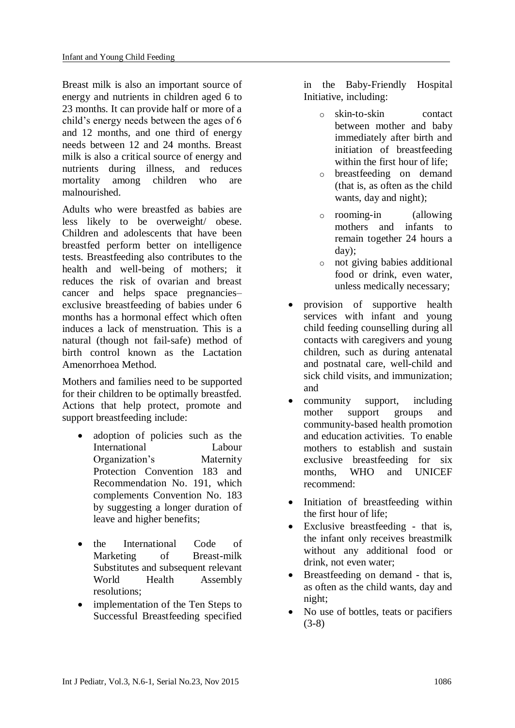Breast milk is also an important source of energy and nutrients in children aged 6 to 23 months. It can provide half or more of a child's energy needs between the ages of 6 and 12 months, and one third of energy needs between 12 and 24 months. Breast milk is also a critical source of energy and nutrients during illness, and reduces mortality among children who are malnourished.

Adults who were breastfed as babies are less likely to be overweight/ obese. Children and adolescents that have been breastfed perform better on intelligence tests. Breastfeeding also contributes to the health and well-being of mothers; it reduces the risk of ovarian and breast cancer and helps space pregnancies– exclusive breastfeeding of babies under 6 months has a hormonal effect which often induces a lack of menstruation. This is a natural (though not fail-safe) method of birth control known as the Lactation Amenorrhoea Method.

Mothers and families need to be supported for their children to be optimally breastfed. Actions that help protect, promote and support breastfeeding include:

- adoption of policies such as the International Labour Organization's Maternity Protection Convention 183 and Recommendation No. 191, which complements Convention No. 183 by suggesting a longer duration of leave and higher benefits;
- the International Code of Marketing of Breast-milk Substitutes and subsequent relevant World Health Assembly resolutions;
- implementation of the Ten Steps to Successful Breastfeeding specified

in the Baby-Friendly Hospital Initiative, including:

- o skin-to-skin contact between mother and baby immediately after birth and initiation of breastfeeding within the first hour of life;
- o breastfeeding on demand (that is, as often as the child wants, day and night);
- o rooming-in (allowing mothers and infants to remain together 24 hours a day);
- o not giving babies additional food or drink, even water, unless medically necessary;
- provision of supportive health services with infant and young child feeding counselling during all contacts with caregivers and young children, such as during antenatal and postnatal care, well-child and sick child visits, and immunization; and
- community support, including mother support groups and community-based health promotion and education activities. To enable mothers to establish and sustain exclusive breastfeeding for six months, WHO and UNICEF recommend:
- Initiation of breastfeeding within the first hour of life;
- Exclusive breastfeeding that is, the infant only receives breastmilk without any additional food or drink, not even water;
- Breastfeeding on demand that is, as often as the child wants, day and night;
- No use of bottles, teats or pacifiers (3-8)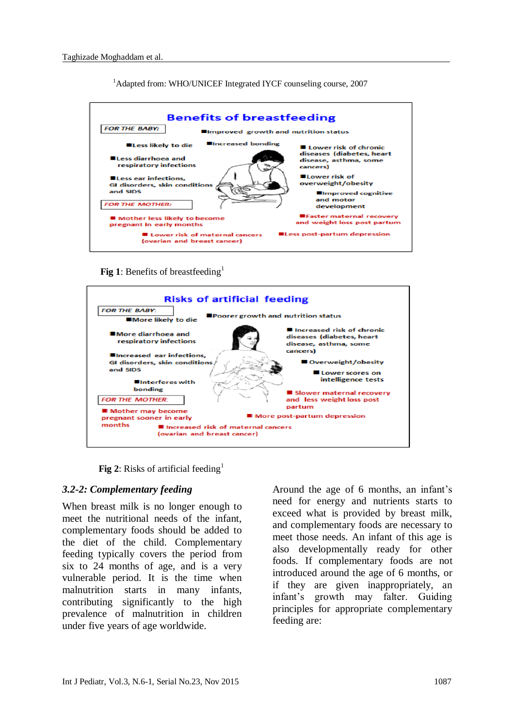<sup>1</sup>Adapted from: WHO/UNICEF Integrated IYCF counseling course, 2007



**Fig 1**: Benefits of breastfeeding<sup>1</sup>



**Fig 2**: Risks of artificial feeding<sup>1</sup>

#### *3.2-2: Complementary feeding*

When breast milk is no longer enough to meet the nutritional needs of the infant, complementary foods should be added to the diet of the child. Complementary feeding typically covers the period from six to 24 months of age, and is a very vulnerable period. It is the time when malnutrition starts in many infants, contributing significantly to the high prevalence of malnutrition in children under five years of age worldwide.

Around the age of 6 months, an infant's need for energy and nutrients starts to exceed what is provided by breast milk, and complementary foods are necessary to meet those needs. An infant of this age is also developmentally ready for other foods. If complementary foods are not introduced around the age of 6 months, or if they are given inappropriately, an infant's growth may falter. Guiding principles for appropriate complementary feeding are: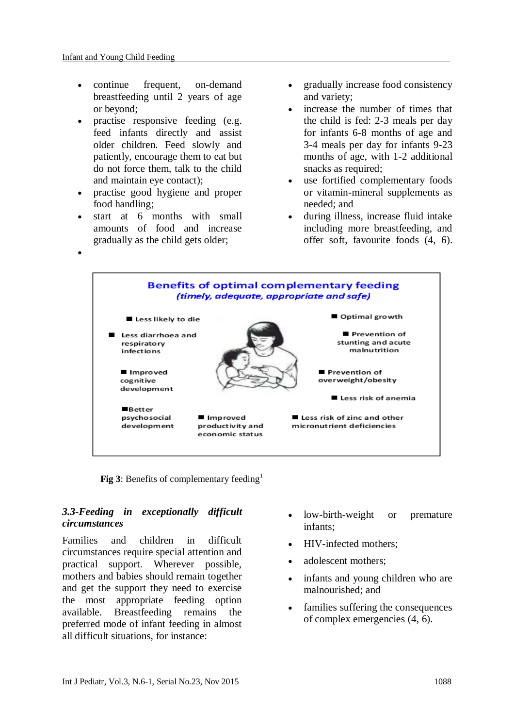$\bullet$ 

- continue frequent, on-demand breastfeeding until 2 years of age or beyond;
- practise responsive feeding (e.g. feed infants directly and assist older children. Feed slowly and patiently, encourage them to eat but do not force them, talk to the child and maintain eye contact);
- practise good hygiene and proper food handling;
- start at 6 months with small amounts of food and increase gradually as the child gets older;
- gradually increase food consistency and variety;
- increase the number of times that the child is fed: 2-3 meals per day for infants 6-8 months of age and 3-4 meals per day for infants 9-23 months of age, with 1-2 additional snacks as required;
- use fortified complementary foods or vitamin-mineral supplements as needed; and
- during illness, increase fluid intake including more breastfeeding, and offer soft, favourite foods (4, 6).



**Fig 3**: Benefits of complementary feeding<sup>1</sup>

## *3.3-Feeding in exceptionally difficult circumstances*

Families and children in difficult circumstances require special attention and practical support. Wherever possible, mothers and babies should remain together and get the support they need to exercise the most appropriate feeding option available. Breastfeeding remains the preferred mode of infant feeding in almost all difficult situations, for instance:

- low-birth-weight or premature infants;
- HIV-infected mothers;
- adolescent mothers;
- infants and young children who are malnourished; and
- families suffering the consequences of complex emergencies (4, 6).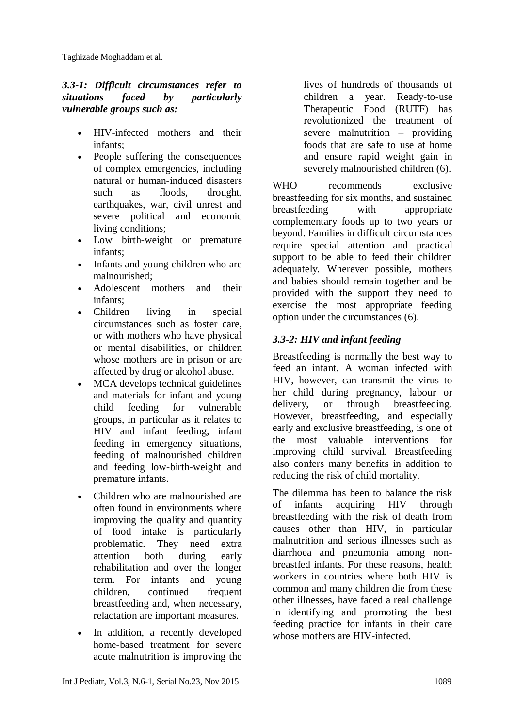## *3.3-1: Difficult circumstances refer to situations faced by particularly vulnerable groups such as:*

- HIV-infected mothers and their infants;
- People suffering the consequences of complex emergencies, including natural or human-induced disasters such as floods, drought, earthquakes, war, civil unrest and severe political and economic living conditions;
- Low birth-weight or premature infants;
- Infants and young children who are malnourished;
- Adolescent mothers and their infants;
- Children living in special circumstances such as foster care, or with mothers who have physical or mental disabilities, or children whose mothers are in prison or are affected by drug or alcohol abuse.
- MCA develops technical guidelines and materials for infant and young child feeding for vulnerable groups, in particular as it relates to HIV and infant feeding, infant feeding in emergency situations, feeding of malnourished children and feeding low-birth-weight and premature infants.
- Children who are malnourished are often found in environments where improving the quality and quantity of food intake is particularly problematic. They need extra attention both during early rehabilitation and over the longer term. For infants and young children, continued frequent breastfeeding and, when necessary, relactation are important measures.
- In addition, a recently developed home-based treatment for severe acute malnutrition is improving the

lives of hundreds of thousands of children a year. Ready-to-use Therapeutic Food (RUTF) has revolutionized the treatment of severe malnutrition – providing foods that are safe to use at home and ensure rapid weight gain in severely malnourished children (6).

WHO recommends exclusive breastfeeding for six months, and sustained breastfeeding with appropriate complementary foods up to two years or beyond. Families in difficult circumstances require special attention and practical support to be able to feed their children adequately. Wherever possible, mothers and babies should remain together and be provided with the support they need to exercise the most appropriate feeding option under the circumstances (6).

## *3.3-2: HIV and infant feeding*

Breastfeeding is normally the best way to feed an infant. A woman infected with HIV, however, can transmit the virus to her child during pregnancy, labour or delivery, or through breastfeeding. However, breastfeeding, and especially early and exclusive breastfeeding, is one of the most valuable interventions for improving child survival. Breastfeeding also confers many benefits in addition to reducing the risk of child mortality.

The dilemma has been to balance the risk of infants acquiring HIV through breastfeeding with the risk of death from causes other than HIV, in particular malnutrition and serious illnesses such as diarrhoea and pneumonia among nonbreastfed infants. For these reasons, health workers in countries where both HIV is common and many children die from these other illnesses, have faced a real challenge in identifying and promoting the best feeding practice for infants in their care whose mothers are HIV-infected.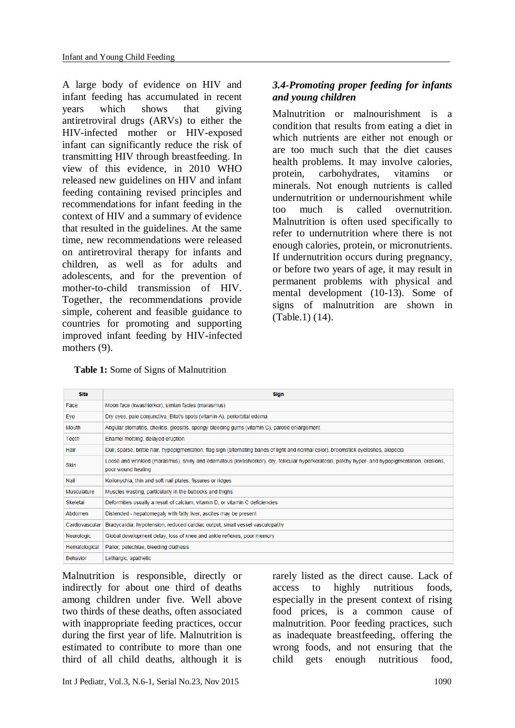A large body of evidence on HIV and infant feeding has accumulated in recent years which shows that giving antiretroviral drugs (ARVs) to either the HIV-infected mother or HIV-exposed infant can significantly reduce the risk of transmitting HIV through breastfeeding. In view of this evidence, in 2010 WHO released new guidelines on HIV and infant feeding containing revised principles and recommendations for infant feeding in the context of HIV and a summary of evidence that resulted in the guidelines. At the same time, new recommendations were released on antiretroviral therapy for infants and children, as well as for adults and adolescents, and for the prevention of mother-to-child transmission of HIV. Together, the recommendations provide simple, coherent and feasible guidance to countries for promoting and supporting improved infant feeding by HIV-infected mothers  $(9)$ .

## *3.4-Promoting proper feeding for infants and young children*

Malnutrition or malnourishment is a condition that results from eating a diet in which [nutrients](https://en.wikipedia.org/wiki/Nutrient) are either not enough or are too much such that the diet causes health problems. It may involve [calories,](https://en.wikipedia.org/wiki/Calories) [protein,](https://en.wikipedia.org/wiki/Protein) [carbohydrates,](https://en.wikipedia.org/wiki/Carbohydrates) [vitamins](https://en.wikipedia.org/wiki/Vitamin) or [minerals.](https://en.wikipedia.org/wiki/Dietary_element) Not enough nutrients is called undernutrition or undernourishment while too much is called [overnutrition.](https://en.wikipedia.org/wiki/Overnutrition) Malnutrition is often used specifically to refer to undernutrition where there is not enough calories, protein, or [micronutrients.](https://en.wikipedia.org/wiki/Micronutrients) If undernutrition occurs during [pregnancy,](https://en.wikipedia.org/wiki/Pregnancy) or before two years of age, it may result in permanent problems with physical and mental development (10-13). Some of signs of malnutrition are shown in (Table.1) (14).

 **Table 1:** Some of Signs of Malnutrition

| <b>Site</b>     | <b>Sign</b>                                                                                                                                                           |
|-----------------|-----------------------------------------------------------------------------------------------------------------------------------------------------------------------|
| Face            | Moon face (kwashiorkor), simian facies (marasmus)                                                                                                                     |
| Eye             | Dry eyes, pale conjunctiva, Bitot's spots (vitamin A), periorbital edema                                                                                              |
| Mouth           | Angular stomatitis, cheilitis, glossitis, spongy bleeding gums (vitamin C), parotid enlargement                                                                       |
| <b>Teeth</b>    | Enamel mottling, delayed eruption                                                                                                                                     |
| Hair            | Dull, sparse, brittle hair, hypopigmentation, flag sign (alternating bands of light and normal color), broomstick eyelashes, alopecia                                 |
| <b>Skin</b>     | Loose and wrinkled (marasmus), shiny and edematous (kwashiorkor), dry, follicular hyperkeratosis, patchy hyper- and hypopigmentation, erosions,<br>poor wound healing |
| Nail            | Koilonychia, thin and soft nail plates, fissures or ridges                                                                                                            |
| Musculature     | Muscles wasting, particularly in the buttocks and thighs                                                                                                              |
| Skeletal        | Deformities usually a result of calcium, vitamin D, or vitamin C deficiencies                                                                                         |
| Abdomen         | Distended - hepatomegaly with fatty liver, ascites may be present                                                                                                     |
| Cardiovascular  | Bradycardia, hypotension, reduced cardiac output, small vessel vasculopathy                                                                                           |
| Neurologic      | Global development delay, loss of knee and ankle reflexes, poor memory                                                                                                |
| Hematological   | Pallor, petechiae, bleeding diathesis                                                                                                                                 |
| <b>Behavior</b> | Lethargic, apathetic                                                                                                                                                  |

Malnutrition is responsible, directly or indirectly for about one third of deaths among children under five. Well above two thirds of these deaths, often associated with inappropriate feeding practices, occur during the first year of life. Malnutrition is estimated to contribute to more than one third of all child deaths, although it is rarely listed as the direct cause. Lack of access to highly nutritious foods, especially in the present context of rising food prices, is a common cause of malnutrition. Poor feeding practices, such as inadequate breastfeeding, offering the wrong foods, and not ensuring that the child gets enough nutritious food,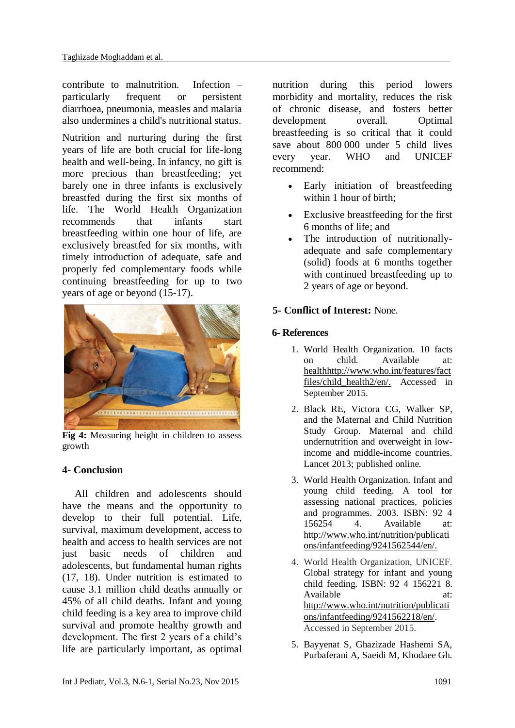contribute to malnutrition. Infection – particularly frequent or persistent diarrhoea, pneumonia, measles and malaria also undermines a child's nutritional status.

Nutrition and nurturing during the first years of life are both crucial for life-long health and well-being. In infancy, no gift is more precious than breastfeeding; yet barely one in three infants is exclusively breastfed during the first six months of life. The World Health Organization recommends that infants start breastfeeding within one hour of life, are exclusively breastfed for six months, with timely introduction of adequate, safe and properly fed complementary foods while continuing breastfeeding for up to two years of age or beyond (15-17).



**Fig 4:** Measuring height in children to assess growth

### **4- Conclusion**

All children and adolescents should have the means and the opportunity to develop to their full potential. Life, survival, maximum development, access to health and access to health services are not just basic needs of children and adolescents, but fundamental human rights (17, 18). Under nutrition is estimated to cause 3.1 million child deaths annually or 45% of all child deaths. Infant and young child feeding is a key area to improve child survival and promote healthy growth and development. The first 2 years of a child's life are particularly important, as optimal nutrition during this period lowers morbidity and mortality, reduces the risk of chronic disease, and fosters better development overall. Optimal breastfeeding is so critical that it could save about 800 000 under 5 child lives every year. WHO and UNICEF recommend:

- Early initiation of breastfeeding within 1 hour of birth:
- Exclusive breastfeeding for the first 6 months of life; and
- The introduction of nutritionallyadequate and safe complementary (solid) foods at 6 months together with continued breastfeeding up to 2 years of age or beyond.

### **5- Conflict of Interest:** None.

### **6- References**

- 1. World Health Organization. 10 facts on child. Available at: healthhttp://www.who.int/features/fact files/child\_health2/en/. Accessed in September 2015.
- 2. Black RE, Victora CG, Walker SP, and the Maternal and Child Nutrition Study Group. Maternal and child undernutrition and overweight in lowincome and middle-income countries. Lancet 2013; published online.
- 3. World Health Organization. Infant and young child feeding. A tool for assessing national practices, policies and programmes. 2003. ISBN: 92 4 156254 4. Available at: http://www.who.int/nutrition/publicati ons/infantfeeding/9241562544/en/.
- 4. World Health Organization, UNICEF. Global strategy for infant and young child feeding. ISBN: 92 4 156221 8. Available at: [http://www.who.int/nutrition/publicati](http://www.who.int/nutrition/publications/infantfeeding/9241562218/en/) [ons/infantfeeding/9241562218/en/](http://www.who.int/nutrition/publications/infantfeeding/9241562218/en/). Accessed in September 2015.
- 5. Bayyenat S, Ghazizade Hashemi SA, Purbaferani A, Saeidi M, Khodaee Gh.